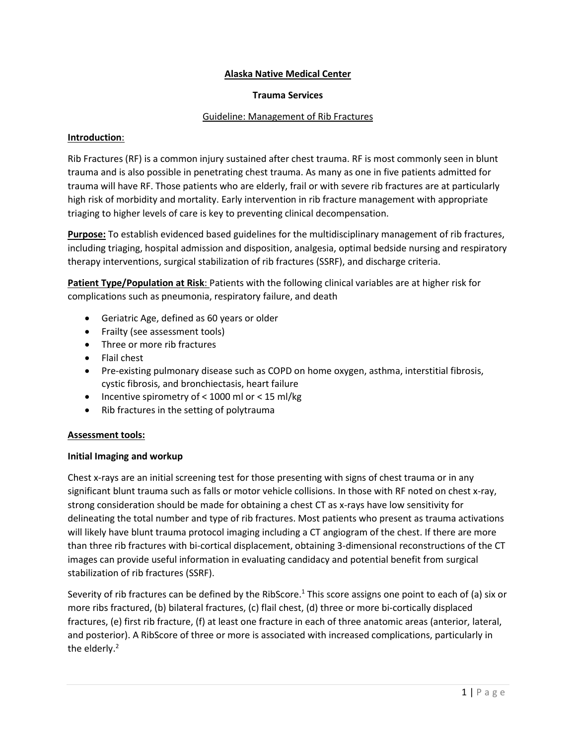### **Alaska Native Medical Center**

#### **Trauma Services**

#### Guideline: Management of Rib Fractures

#### **Introduction**:

Rib Fractures (RF) is a common injury sustained after chest trauma. RF is most commonly seen in blunt trauma and is also possible in penetrating chest trauma. As many as one in five patients admitted for trauma will have RF. Those patients who are elderly, frail or with severe rib fractures are at particularly high risk of morbidity and mortality. Early intervention in rib fracture management with appropriate triaging to higher levels of care is key to preventing clinical decompensation.

**Purpose:** To establish evidenced based guidelines for the multidisciplinary management of rib fractures, including triaging, hospital admission and disposition, analgesia, optimal bedside nursing and respiratory therapy interventions, surgical stabilization of rib fractures (SSRF), and discharge criteria.

**Patient Type/Population at Risk**: Patients with the following clinical variables are at higher risk for complications such as pneumonia, respiratory failure, and death

- Geriatric Age, defined as 60 years or older
- Frailty (see assessment tools)
- Three or more rib fractures
- Flail chest
- Pre-existing pulmonary disease such as COPD on home oxygen, asthma, interstitial fibrosis, cystic fibrosis, and bronchiectasis, heart failure
- Incentive spirometry of  $<$  1000 ml or  $<$  15 ml/kg
- Rib fractures in the setting of polytrauma

#### **Assessment tools:**

### **Initial Imaging and workup**

Chest x-rays are an initial screening test for those presenting with signs of chest trauma or in any significant blunt trauma such as falls or motor vehicle collisions. In those with RF noted on chest x-ray, strong consideration should be made for obtaining a chest CT as x-rays have low sensitivity for delineating the total number and type of rib fractures. Most patients who present as trauma activations will likely have blunt trauma protocol imaging including a CT angiogram of the chest. If there are more than three rib fractures with bi-cortical displacement, obtaining 3-dimensional reconstructions of the CT images can provide useful information in evaluating candidacy and potential benefit from surgical stabilization of rib fractures (SSRF).

Severity of rib fractures can be defined by the RibScore.<sup>1</sup> This score assigns one point to each of (a) six or more ribs fractured, (b) bilateral fractures, (c) flail chest, (d) three or more bi-cortically displaced fractures, (e) first rib fracture, (f) at least one fracture in each of three anatomic areas (anterior, lateral, and posterior). A RibScore of three or more is associated with increased complications, particularly in the elderly.<sup>2</sup>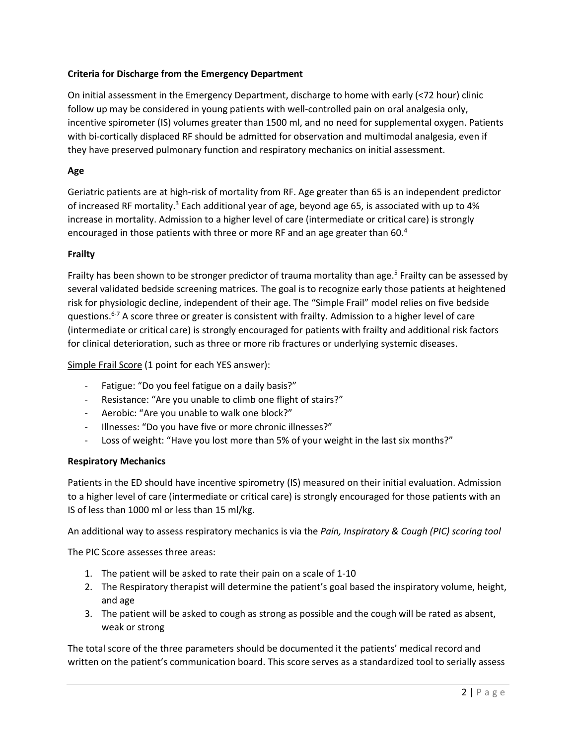# **Criteria for Discharge from the Emergency Department**

On initial assessment in the Emergency Department, discharge to home with early (<72 hour) clinic follow up may be considered in young patients with well-controlled pain on oral analgesia only, incentive spirometer (IS) volumes greater than 1500 ml, and no need for supplemental oxygen. Patients with bi-cortically displaced RF should be admitted for observation and multimodal analgesia, even if they have preserved pulmonary function and respiratory mechanics on initial assessment.

### **Age**

Geriatric patients are at high-risk of mortality from RF. Age greater than 65 is an independent predictor of increased RF mortality.<sup>3</sup> Each additional year of age, beyond age 65, is associated with up to 4% increase in mortality. Admission to a higher level of care (intermediate or critical care) is strongly encouraged in those patients with three or more RF and an age greater than 60. 4

### **Frailty**

Frailty has been shown to be stronger predictor of trauma mortality than age.<sup>5</sup> Frailty can be assessed by several validated bedside screening matrices. The goal is to recognize early those patients at heightened risk for physiologic decline, independent of their age. The "Simple Frail" model relies on five bedside questions.6-7 A score three or greater is consistent with frailty. Admission to a higher level of care (intermediate or critical care) is strongly encouraged for patients with frailty and additional risk factors for clinical deterioration, such as three or more rib fractures or underlying systemic diseases.

Simple Frail Score (1 point for each YES answer):

- Fatigue: "Do you feel fatigue on a daily basis?"
- Resistance: "Are you unable to climb one flight of stairs?"
- Aerobic: "Are you unable to walk one block?"
- Illnesses: "Do you have five or more chronic illnesses?"
- Loss of weight: "Have you lost more than 5% of your weight in the last six months?"

### **Respiratory Mechanics**

Patients in the ED should have incentive spirometry (IS) measured on their initial evaluation. Admission to a higher level of care (intermediate or critical care) is strongly encouraged for those patients with an IS of less than 1000 ml or less than 15 ml/kg.

An additional way to assess respiratory mechanics is via the *Pain, Inspiratory & Cough (PIC) scoring tool*

The PIC Score assesses three areas:

- 1. The patient will be asked to rate their pain on a scale of 1-10
- 2. The Respiratory therapist will determine the patient's goal based the inspiratory volume, height, and age
- 3. The patient will be asked to cough as strong as possible and the cough will be rated as absent, weak or strong

The total score of the three parameters should be documented it the patients' medical record and written on the patient's communication board. This score serves as a standardized tool to serially assess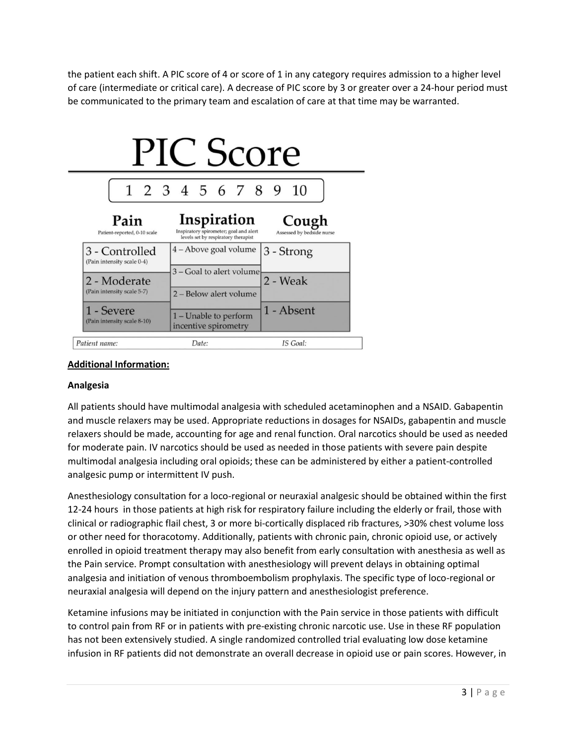the patient each shift. A PIC score of 4 or score of 1 in any category requires admission to a higher level of care (intermediate or critical care). A decrease of PIC score by 3 or greater over a 24-hour period must be communicated to the primary team and escalation of care at that time may be warranted.



# **Additional Information:**

### **Analgesia**

All patients should have multimodal analgesia with scheduled acetaminophen and a NSAID. Gabapentin and muscle relaxers may be used. Appropriate reductions in dosages for NSAIDs, gabapentin and muscle relaxers should be made, accounting for age and renal function. Oral narcotics should be used as needed for moderate pain. IV narcotics should be used as needed in those patients with severe pain despite multimodal analgesia including oral opioids; these can be administered by either a patient-controlled analgesic pump or intermittent IV push.

Anesthesiology consultation for a loco-regional or neuraxial analgesic should be obtained within the first 12-24 hours in those patients at high risk for respiratory failure including the elderly or frail, those with clinical or radiographic flail chest, 3 or more bi-cortically displaced rib fractures, >30% chest volume loss or other need for thoracotomy. Additionally, patients with chronic pain, chronic opioid use, or actively enrolled in opioid treatment therapy may also benefit from early consultation with anesthesia as well as the Pain service. Prompt consultation with anesthesiology will prevent delays in obtaining optimal analgesia and initiation of venous thromboembolism prophylaxis. The specific type of loco-regional or neuraxial analgesia will depend on the injury pattern and anesthesiologist preference.

Ketamine infusions may be initiated in conjunction with the Pain service in those patients with difficult to control pain from RF or in patients with pre-existing chronic narcotic use. Use in these RF population has not been extensively studied. A single randomized controlled trial evaluating low dose ketamine infusion in RF patients did not demonstrate an overall decrease in opioid use or pain scores. However, in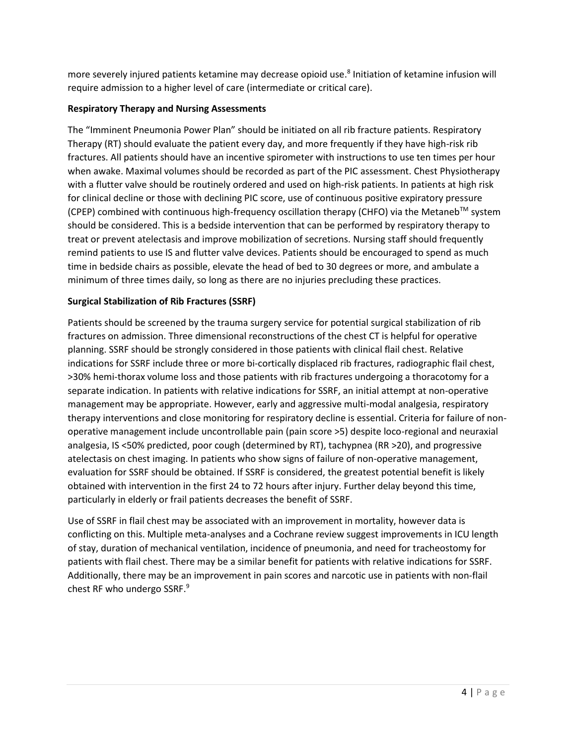more severely injured patients ketamine may decrease opioid use. 8 Initiation of ketamine infusion will require admission to a higher level of care (intermediate or critical care).

# **Respiratory Therapy and Nursing Assessments**

The "Imminent Pneumonia Power Plan" should be initiated on all rib fracture patients. Respiratory Therapy (RT) should evaluate the patient every day, and more frequently if they have high-risk rib fractures. All patients should have an incentive spirometer with instructions to use ten times per hour when awake. Maximal volumes should be recorded as part of the PIC assessment. Chest Physiotherapy with a flutter valve should be routinely ordered and used on high-risk patients. In patients at high risk for clinical decline or those with declining PIC score, use of continuous positive expiratory pressure (CPEP) combined with continuous high-frequency oscillation therapy (CHFO) via the Metaneb<sup>TM</sup> system should be considered. This is a bedside intervention that can be performed by respiratory therapy to treat or prevent atelectasis and improve mobilization of secretions. Nursing staff should frequently remind patients to use IS and flutter valve devices. Patients should be encouraged to spend as much time in bedside chairs as possible, elevate the head of bed to 30 degrees or more, and ambulate a minimum of three times daily, so long as there are no injuries precluding these practices.

# **Surgical Stabilization of Rib Fractures (SSRF)**

Patients should be screened by the trauma surgery service for potential surgical stabilization of rib fractures on admission. Three dimensional reconstructions of the chest CT is helpful for operative planning. SSRF should be strongly considered in those patients with clinical flail chest. Relative indications for SSRF include three or more bi-cortically displaced rib fractures, radiographic flail chest, >30% hemi-thorax volume loss and those patients with rib fractures undergoing a thoracotomy for a separate indication. In patients with relative indications for SSRF, an initial attempt at non-operative management may be appropriate. However, early and aggressive multi-modal analgesia, respiratory therapy interventions and close monitoring for respiratory decline is essential. Criteria for failure of nonoperative management include uncontrollable pain (pain score >5) despite loco-regional and neuraxial analgesia, IS <50% predicted, poor cough (determined by RT), tachypnea (RR >20), and progressive atelectasis on chest imaging. In patients who show signs of failure of non-operative management, evaluation for SSRF should be obtained. If SSRF is considered, the greatest potential benefit is likely obtained with intervention in the first 24 to 72 hours after injury. Further delay beyond this time, particularly in elderly or frail patients decreases the benefit of SSRF.

Use of SSRF in flail chest may be associated with an improvement in mortality, however data is conflicting on this. Multiple meta-analyses and a Cochrane review suggest improvements in ICU length of stay, duration of mechanical ventilation, incidence of pneumonia, and need for tracheostomy for patients with flail chest. There may be a similar benefit for patients with relative indications for SSRF. Additionally, there may be an improvement in pain scores and narcotic use in patients with non-flail chest RF who undergo SSRF.<sup>9</sup>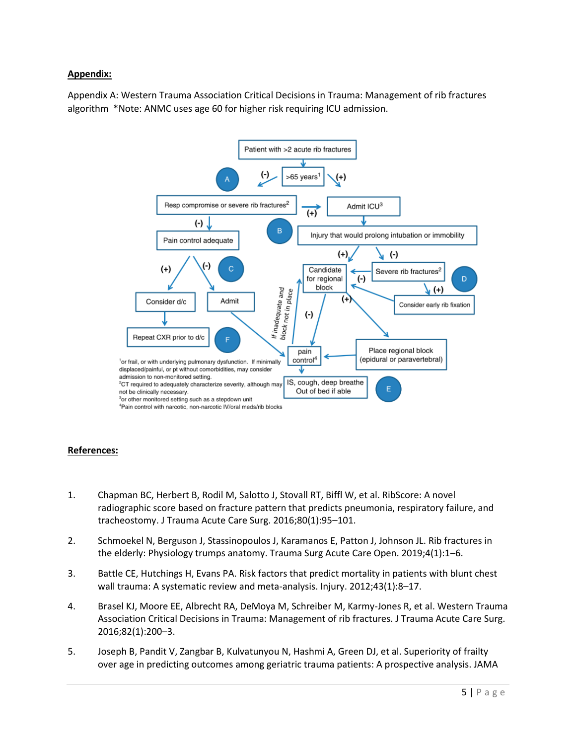### **Appendix:**

Appendix A: Western Trauma Association Critical Decisions in Trauma: Management of rib fractures algorithm \*Note: ANMC uses age 60 for higher risk requiring ICU admission.



### **References:**

- 1. Chapman BC, Herbert B, Rodil M, Salotto J, Stovall RT, Biffl W, et al. RibScore: A novel radiographic score based on fracture pattern that predicts pneumonia, respiratory failure, and tracheostomy. J Trauma Acute Care Surg. 2016;80(1):95–101.
- 2. Schmoekel N, Berguson J, Stassinopoulos J, Karamanos E, Patton J, Johnson JL. Rib fractures in the elderly: Physiology trumps anatomy. Trauma Surg Acute Care Open. 2019;4(1):1–6.
- 3. Battle CE, Hutchings H, Evans PA. Risk factors that predict mortality in patients with blunt chest wall trauma: A systematic review and meta-analysis. Injury. 2012;43(1):8–17.
- 4. Brasel KJ, Moore EE, Albrecht RA, DeMoya M, Schreiber M, Karmy-Jones R, et al. Western Trauma Association Critical Decisions in Trauma: Management of rib fractures. J Trauma Acute Care Surg. 2016;82(1):200–3.
- 5. Joseph B, Pandit V, Zangbar B, Kulvatunyou N, Hashmi A, Green DJ, et al. Superiority of frailty over age in predicting outcomes among geriatric trauma patients: A prospective analysis. JAMA